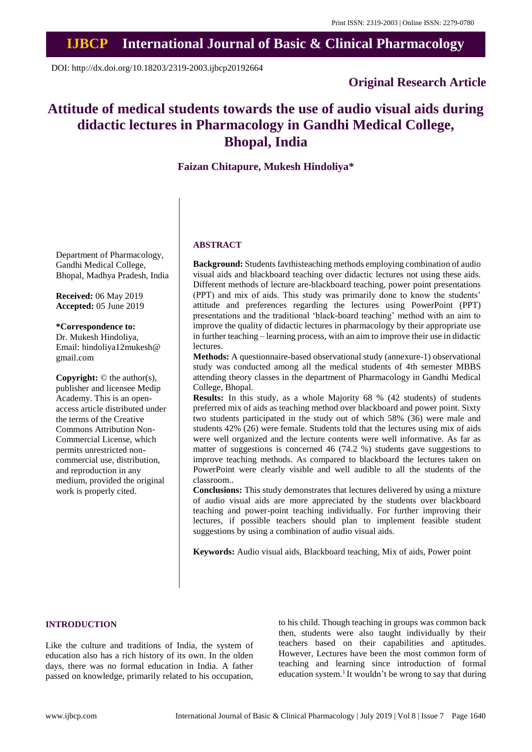# **IJBCP International Journal of Basic & Clinical Pharmacology**

DOI: http://dx.doi.org/10.18203/2319-2003.ijbcp20192664

# **Original Research Article**

# **Attitude of medical students towards the use of audio visual aids during didactic lectures in Pharmacology in Gandhi Medical College, Bhopal, India**

# **Faizan Chitapure, Mukesh Hindoliya\***

Department of Pharmacology, Gandhi Medical College, Bhopal, Madhya Pradesh, India

**Received:** 06 May 2019 **Accepted:** 05 June 2019

**\*Correspondence to:**

Dr. Mukesh Hindoliya, Email: hindoliya12mukesh@ gmail.com

**Copyright:** © the author(s), publisher and licensee Medip Academy. This is an openaccess article distributed under the terms of the Creative Commons Attribution Non-Commercial License, which permits unrestricted noncommercial use, distribution, and reproduction in any medium, provided the original work is properly cited.

## **ABSTRACT**

**Background:** Students favthisteaching methods employing combination of audio visual aids and blackboard teaching over didactic lectures not using these aids. Different methods of lecture are-blackboard teaching, power point presentations (PPT) and mix of aids. This study was primarily done to know the students' attitude and preferences regarding the lectures using PowerPoint (PPT) presentations and the traditional 'black-board teaching' method with an aim to improve the quality of didactic lectures in pharmacology by their appropriate use in further teaching – learning process, with an aim to improve their use in didactic lectures.

**Methods:** A questionnaire-based observational study (annexure-1) observational study was conducted among all the medical students of 4th semester MBBS attending theory classes in the department of Pharmacology in Gandhi Medical College, Bhopal.

**Results:** In this study, as a whole Majority 68 % (42 students) of students preferred mix of aids as teaching method over blackboard and power point. Sixty two students participated in the study out of which 58% (36) were male and students 42% (26) were female. Students told that the lectures using mix of aids were well organized and the lecture contents were well informative. As far as matter of suggestions is concerned 46 (74.2 %) students gave suggestions to improve teaching methods. As compared to blackboard the lectures taken on PowerPoint were clearly visible and well audible to all the students of the classroom..

**Conclusions:** This study demonstrates that lectures delivered by using a mixture of audio visual aids are more appreciated by the students over blackboard teaching and power-point teaching individually. For further improving their lectures, if possible teachers should plan to implement feasible student suggestions by using a combination of audio visual aids.

**Keywords:** Audio visual aids, Blackboard teaching, Mix of aids, Power point

# **INTRODUCTION**

Like the culture and traditions of India, the system of education also has a rich history of its own. In the olden days, there was no formal education in India. A father passed on knowledge, primarily related to his occupation, to his child. Though teaching in groups was common back then, students were also taught individually by their teachers based on their capabilities and aptitudes. However, Lectures have been the most common form of teaching and learning since introduction of formal education system.<sup>1</sup> It wouldn't be wrong to say that during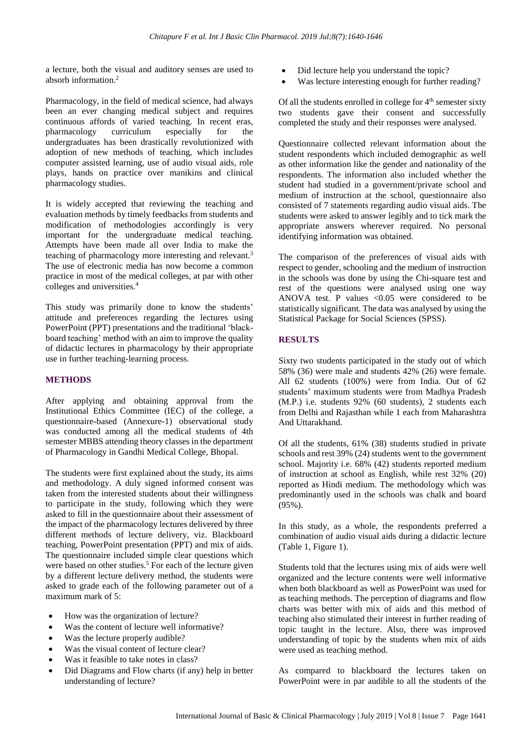a lecture, both the visual and auditory senses are used to absorb information.<sup>2</sup>

Pharmacology, in the field of medical science, had always been an ever changing medical subject and requires continuous affords of varied teaching. In recent eras, pharmacology curriculum especially for the undergraduates has been drastically revolutionized with adoption of new methods of teaching, which includes computer assisted learning, use of audio visual aids, role plays, hands on practice over manikins and clinical pharmacology studies.

It is widely accepted that reviewing the teaching and evaluation methods by timely feedbacks from students and modification of methodologies accordingly is very important for the undergraduate medical teaching. Attempts have been made all over India to make the teaching of pharmacology more interesting and relevant.<sup>3</sup> The use of electronic media has now become a common practice in most of the medical colleges, at par with other colleges and universities.<sup>4</sup>

This study was primarily done to know the students' attitude and preferences regarding the lectures using PowerPoint (PPT) presentations and the traditional 'blackboard teaching' method with an aim to improve the quality of didactic lectures in pharmacology by their appropriate use in further teaching-learning process.

# **METHODS**

After applying and obtaining approval from the Institutional Ethics Committee (IEC) of the college, a questionnaire-based (Annexure-1) observational study was conducted among all the medical students of 4th semester MBBS attending theory classes in the department of Pharmacology in Gandhi Medical College, Bhopal.

The students were first explained about the study, its aims and methodology. A duly signed informed consent was taken from the interested students about their willingness to participate in the study, following which they were asked to fill in the questionnaire about their assessment of the impact of the pharmacology lectures delivered by three different methods of lecture delivery, viz. Blackboard teaching, PowerPoint presentation (PPT) and mix of aids. The questionnaire included simple clear questions which were based on other studies.<sup>5</sup> For each of the lecture given by a different lecture delivery method, the students were asked to grade each of the following parameter out of a maximum mark of 5:

- How was the organization of lecture?
- Was the content of lecture well informative?
- Was the lecture properly audible?
- Was the visual content of lecture clear?
- Was it feasible to take notes in class?
- Did Diagrams and Flow charts (if any) help in better understanding of lecture?
- Did lecture help you understand the topic?
- Was lecture interesting enough for further reading?

Of all the students enrolled in college for 4<sup>th</sup> semester sixty two students gave their consent and successfully completed the study and their responses were analysed.

Questionnaire collected relevant information about the student respondents which included demographic as well as other information like the gender and nationality of the respondents. The information also included whether the student had studied in a government/private school and medium of instruction at the school, questionnaire also consisted of 7 statements regarding audio visual aids. The students were asked to answer legibly and to tick mark the appropriate answers wherever required. No personal identifying information was obtained.

The comparison of the preferences of visual aids with respect to gender, schooling and the medium of instruction in the schools was done by using the Chi-square test and rest of the questions were analysed using one way ANOVA test. P values  $\leq 0.05$  were considered to be statistically significant. The data was analysed by using the Statistical Package for Social Sciences (SPSS).

# **RESULTS**

Sixty two students participated in the study out of which 58% (36) were male and students 42% (26) were female. All 62 students (100%) were from India. Out of 62 students' maximum students were from Madhya Pradesh (M.P.) i.e. students 92% (60 students), 2 students each from Delhi and Rajasthan while 1 each from Maharashtra And Uttarakhand.

Of all the students, 61% (38) students studied in private schools and rest 39% (24) students went to the government school. Majority i.e. 68% (42) students reported medium of instruction at school as English, while rest 32% (20) reported as Hindi medium. The methodology which was predominantly used in the schools was chalk and board (95%).

In this study, as a whole, the respondents preferred a combination of audio visual aids during a didactic lecture (Table 1, Figure 1).

Students told that the lectures using mix of aids were well organized and the lecture contents were well informative when both blackboard as well as PowerPoint was used for as teaching methods. The perception of diagrams and flow charts was better with mix of aids and this method of teaching also stimulated their interest in further reading of topic taught in the lecture. Also, there was improved understanding of topic by the students when mix of aids were used as teaching method.

As compared to blackboard the lectures taken on PowerPoint were in par audible to all the students of the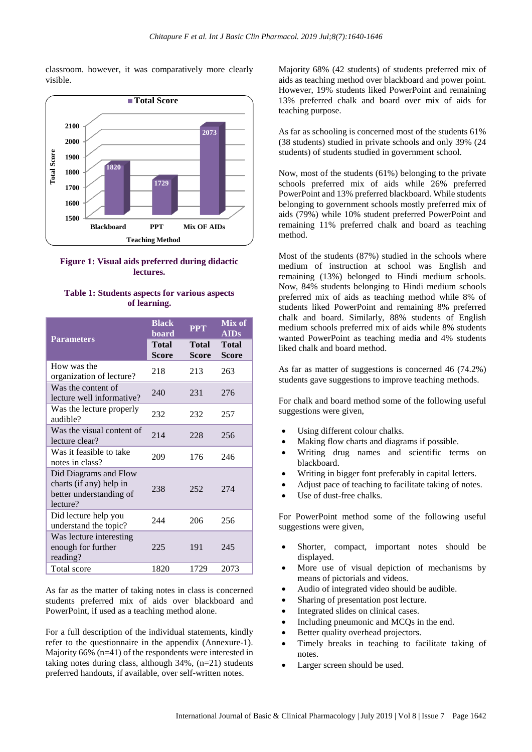classroom. however, it was comparatively more clearly visible.





#### **Table 1: Students aspects for various aspects of learning.**

| <b>Parameters</b>                                                                       | <b>Black</b><br>board                                        | <b>PPT</b> | Mix of<br><b>AIDs</b>        |
|-----------------------------------------------------------------------------------------|--------------------------------------------------------------|------------|------------------------------|
|                                                                                         | <b>Total</b><br><b>Total</b><br><b>Score</b><br><b>Score</b> |            | <b>Total</b><br><b>Score</b> |
| How was the<br>organization of lecture?                                                 | 218                                                          | 213        | 263                          |
| Was the content of<br>lecture well informative?                                         | 240                                                          | 231        | 276                          |
| Was the lecture properly<br>audible?                                                    | 232                                                          | 232        | 257                          |
| Was the visual content of<br>lecture clear?                                             | 214                                                          | 228        | 256                          |
| Was it feasible to take<br>notes in class?                                              | 209                                                          | 176        | 246                          |
| Did Diagrams and Flow<br>charts (if any) help in<br>better understanding of<br>lecture? | 238                                                          | 252        | 274                          |
| Did lecture help you<br>understand the topic?                                           | 244                                                          | 206        | 256                          |
| Was lecture interesting<br>enough for further<br>reading?                               | 225                                                          | 191        | 245                          |
| Total score                                                                             | 1820                                                         | 1729       | 2073                         |

As far as the matter of taking notes in class is concerned students preferred mix of aids over blackboard and PowerPoint, if used as a teaching method alone.

For a full description of the individual statements, kindly refer to the questionnaire in the appendix (Annexure-1). Majority 66% (n=41) of the respondents were interested in taking notes during class, although 34%, (n=21) students preferred handouts, if available, over self-written notes.

Majority 68% (42 students) of students preferred mix of aids as teaching method over blackboard and power point. However, 19% students liked PowerPoint and remaining 13% preferred chalk and board over mix of aids for teaching purpose.

As far as schooling is concerned most of the students 61% (38 students) studied in private schools and only 39% (24 students) of students studied in government school.

Now, most of the students (61%) belonging to the private schools preferred mix of aids while 26% preferred PowerPoint and 13% preferred blackboard. While students belonging to government schools mostly preferred mix of aids (79%) while 10% student preferred PowerPoint and remaining 11% preferred chalk and board as teaching method.

Most of the students (87%) studied in the schools where medium of instruction at school was English and remaining (13%) belonged to Hindi medium schools. Now, 84% students belonging to Hindi medium schools preferred mix of aids as teaching method while 8% of students liked PowerPoint and remaining 8% preferred chalk and board. Similarly, 88% students of English medium schools preferred mix of aids while 8% students wanted PowerPoint as teaching media and 4% students liked chalk and board method.

As far as matter of suggestions is concerned 46 (74.2%) students gave suggestions to improve teaching methods.

For chalk and board method some of the following useful suggestions were given,

- Using different colour chalks.
- Making flow charts and diagrams if possible.
- Writing drug names and scientific terms on blackboard.
- Writing in bigger font preferably in capital letters.
- Adjust pace of teaching to facilitate taking of notes.
- Use of dust-free chalks.

For PowerPoint method some of the following useful suggestions were given.

- Shorter, compact, important notes should be displayed.
- More use of visual depiction of mechanisms by means of pictorials and videos.
- Audio of integrated video should be audible.
- Sharing of presentation post lecture.
- Integrated slides on clinical cases.
- Including pneumonic and MCQs in the end.
- Better quality overhead projectors.
- Timely breaks in teaching to facilitate taking of notes.
- Larger screen should be used.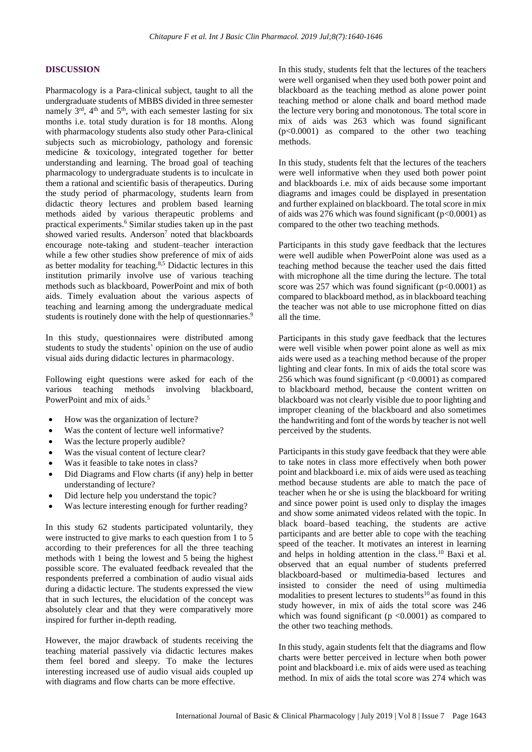# **DISCUSSION**

Pharmacology is a Para-clinical subject, taught to all the undergraduate students of MBBS divided in three semester namely 3<sup>rd</sup>, 4<sup>th</sup> and 5<sup>th</sup>, with each semester lasting for six months i.e. total study duration is for 18 months. Along with pharmacology students also study other Para-clinical subjects such as microbiology, pathology and forensic medicine & toxicology, integrated together for better understanding and learning. The broad goal of teaching pharmacology to undergraduate students is to inculcate in them a rational and scientific basis of therapeutics. During the study period of pharmacology, students learn from didactic theory lectures and problem based learning methods aided by various therapeutic problems and practical experiments.<sup>6</sup> Similar studies taken up in the past showed varied results. Anderson<sup>7</sup> noted that blackboards encourage note-taking and student–teacher interaction while a few other studies show preference of mix of aids as better modality for teaching.<sup>8,5</sup> Didactic lectures in this institution primarily involve use of various teaching methods such as blackboard, PowerPoint and mix of both aids. Timely evaluation about the various aspects of teaching and learning among the undergraduate medical students is routinely done with the help of questionnaries.<sup>9</sup>

In this study, questionnaires were distributed among students to study the students' opinion on the use of audio visual aids during didactic lectures in pharmacology.

Following eight questions were asked for each of the various teaching methods involving blackboard, PowerPoint and mix of aids.<sup>5</sup>

- How was the organization of lecture?
- Was the content of lecture well informative?
- Was the lecture properly audible?
- Was the visual content of lecture clear?
- Was it feasible to take notes in class?
- Did Diagrams and Flow charts (if any) help in better understanding of lecture?
- Did lecture help you understand the topic?
- Was lecture interesting enough for further reading?

In this study 62 students participated voluntarily, they were instructed to give marks to each question from 1 to 5 according to their preferences for all the three teaching methods with 1 being the lowest and 5 being the highest possible score. The evaluated feedback revealed that the respondents preferred a combination of audio visual aids during a didactic lecture. The students expressed the view that in such lectures, the elucidation of the concept was absolutely clear and that they were comparatively more inspired for further in-depth reading.

However, the major drawback of students receiving the teaching material passively via didactic lectures makes them feel bored and sleepy. To make the lectures interesting increased use of audio visual aids coupled up with diagrams and flow charts can be more effective.

In this study, students felt that the lectures of the teachers were well organised when they used both power point and blackboard as the teaching method as alone power point teaching method or alone chalk and board method made the lecture very boring and monotonous. The total score in mix of aids was 263 which was found significant (p<0.0001) as compared to the other two teaching methods.

In this study, students felt that the lectures of the teachers were well informative when they used both power point and blackboards i.e. mix of aids because some important diagrams and images could be displayed in presentation and further explained on blackboard. The total score in mix of aids was 276 which was found significant (p<0.0001) as compared to the other two teaching methods.

Participants in this study gave feedback that the lectures were well audible when PowerPoint alone was used as a teaching method because the teacher used the dais fitted with microphone all the time during the lecture. The total score was 257 which was found significant ( $p<0.0001$ ) as compared to blackboard method, as in blackboard teaching the teacher was not able to use microphone fitted on dias all the time.

Participants in this study gave feedback that the lectures were well visible when power point alone as well as mix aids were used as a teaching method because of the proper lighting and clear fonts. In mix of aids the total score was 256 which was found significant  $(p < 0.0001)$  as compared to blackboard method, because the content written on blackboard was not clearly visible due to poor lighting and improper cleaning of the blackboard and also sometimes the handwriting and font of the words by teacher is not well perceived by the students.

Participants in this study gave feedback that they were able to take notes in class more effectively when both power point and blackboard i.e. mix of aids were used as teaching method because students are able to match the pace of teacher when he or she is using the blackboard for writing and since power point is used only to display the images and show some animated videos related with the topic. In black board–based teaching, the students are active participants and are better able to cope with the teaching speed of the teacher. It motivates an interest in learning and helps in holding attention in the class.<sup>10</sup> Baxi et al. observed that an equal number of students preferred blackboard-based or multimedia-based lectures and insisted to consider the need of using multimedia modalities to present lectures to students<sup>10</sup> as found in this study however, in mix of aids the total score was 246 which was found significant ( $p \le 0.0001$ ) as compared to the other two teaching methods.

In this study, again students felt that the diagrams and flow charts were better perceived in lecture when both power point and blackboard i.e. mix of aids were used as teaching method. In mix of aids the total score was 274 which was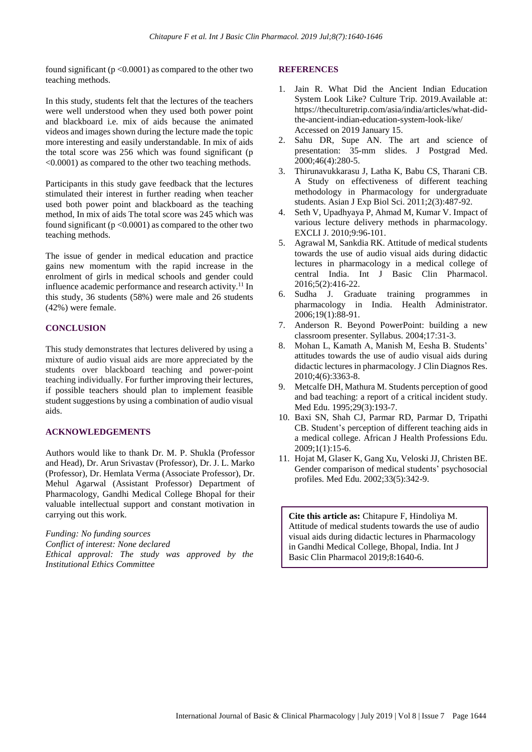found significant ( $p < 0.0001$ ) as compared to the other two teaching methods.

In this study, students felt that the lectures of the teachers were well understood when they used both power point and blackboard i.e. mix of aids because the animated videos and images shown during the lecture made the topic more interesting and easily understandable. In mix of aids the total score was 256 which was found significant (p <0.0001) as compared to the other two teaching methods.

Participants in this study gave feedback that the lectures stimulated their interest in further reading when teacher used both power point and blackboard as the teaching method, In mix of aids The total score was 245 which was found significant ( $p < 0.0001$ ) as compared to the other two teaching methods.

The issue of gender in medical education and practice gains new momentum with the rapid increase in the enrolment of girls in medical schools and gender could influence academic performance and research activity.<sup>11</sup> In this study, 36 students (58%) were male and 26 students (42%) were female.

# **CONCLUSION**

This study demonstrates that lectures delivered by using a mixture of audio visual aids are more appreciated by the students over blackboard teaching and power-point teaching individually. For further improving their lectures, if possible teachers should plan to implement feasible student suggestions by using a combination of audio visual aids.

# **ACKNOWLEDGEMENTS**

Authors would like to thank Dr. M. P. Shukla (Professor and Head), Dr. Arun Srivastav (Professor), Dr. J. L. Marko (Professor), Dr. Hemlata Verma (Associate Professor), Dr. Mehul Agarwal (Assistant Professor) Department of Pharmacology, Gandhi Medical College Bhopal for their valuable intellectual support and constant motivation in carrying out this work.

*Funding: No funding sources Conflict of interest: None declared Ethical approval: The study was approved by the Institutional Ethics Committee*

#### **REFERENCES**

- 1. Jain R. What Did the Ancient Indian Education System Look Like? Culture Trip. 2019.Available at: https://theculturetrip.com/asia/india/articles/what-didthe-ancient-indian-education-system-look-like/ Accessed on 2019 January 15.
- 2. Sahu DR, Supe AN. The art and science of presentation: 35-mm slides. J Postgrad Med. 2000;46(4):280-5.
- 3. Thirunavukkarasu J, Latha K, Babu CS, Tharani CB. A Study on effectiveness of different teaching methodology in Pharmacology for undergraduate students. Asian J Exp Biol Sci. 2011;2(3):487-92.
- 4. Seth V, Upadhyaya P, Ahmad M, Kumar V. Impact of various lecture delivery methods in pharmacology. EXCLI J. 2010;9:96-101.
- 5. Agrawal M, Sankdia RK. Attitude of medical students towards the use of audio visual aids during didactic lectures in pharmacology in a medical college of central India. Int J Basic Clin Pharmacol. 2016;5(2):416-22.
- 6. Sudha J. Graduate training programmes in pharmacology in India. Health Administrator. 2006;19(1):88-91.
- 7. Anderson R. Beyond PowerPoint: building a new classroom presenter. Syllabus. 2004;17:31-3.
- 8. Mohan L, Kamath A, Manish M, Eesha B. Students' attitudes towards the use of audio visual aids during didactic lectures in pharmacology. J Clin Diagnos Res. 2010;4(6):3363-8.
- 9. Metcalfe DH, Mathura M. Students perception of good and bad teaching: a report of a critical incident study. Med Edu. 1995;29(3):193-7.
- 10. Baxi SN, Shah CJ, Parmar RD, Parmar D, Tripathi CB. Student's perception of different teaching aids in a medical college. African J Health Professions Edu. 2009;1(1):15-6.
- 11. Hojat M, Glaser K, Gang Xu, Veloski JJ, Christen BE. Gender comparison of medical students' psychosocial profiles. Med Edu. 2002;33(5):342-9.

**Cite this article as:** Chitapure F, Hindoliya M. Attitude of medical students towards the use of audio visual aids during didactic lectures in Pharmacology in Gandhi Medical College, Bhopal, India. Int J Basic Clin Pharmacol 2019;8:1640-6.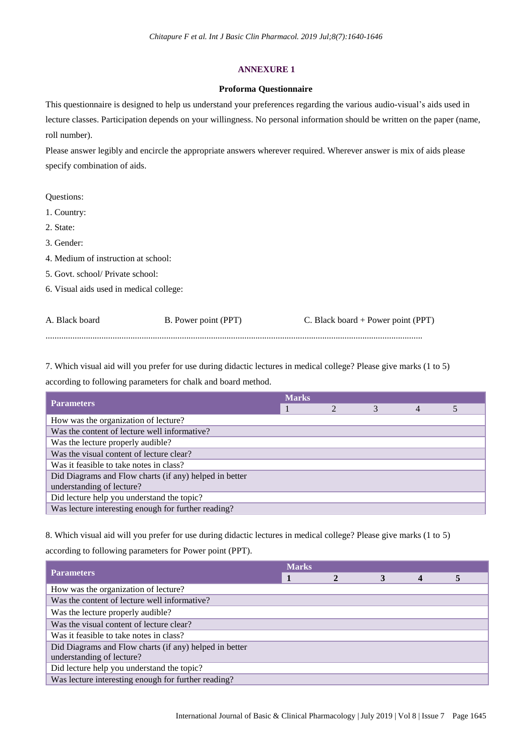# **ANNEXURE 1**

## **Proforma Questionnaire**

This questionnaire is designed to help us understand your preferences regarding the various audio-visual's aids used in lecture classes. Participation depends on your willingness. No personal information should be written on the paper (name, roll number).

Please answer legibly and encircle the appropriate answers wherever required. Wherever answer is mix of aids please specify combination of aids.

Questions:

1. Country:

2. State:

3. Gender:

4. Medium of instruction at school:

5. Govt. school/ Private school:

6. Visual aids used in medical college:

| A. Black board | B. Power point (PPT) | C. Black board + Power point (PPT) |
|----------------|----------------------|------------------------------------|
|                |                      |                                    |

7. Which visual aid will you prefer for use during didactic lectures in medical college? Please give marks (1 to 5) according to following parameters for chalk and board method.

| <b>Parameters</b>                                      | <b>Marks</b> |  |  |  |  |  |
|--------------------------------------------------------|--------------|--|--|--|--|--|
|                                                        |              |  |  |  |  |  |
| How was the organization of lecture?                   |              |  |  |  |  |  |
| Was the content of lecture well informative?           |              |  |  |  |  |  |
| Was the lecture properly audible?                      |              |  |  |  |  |  |
| Was the visual content of lecture clear?               |              |  |  |  |  |  |
| Was it feasible to take notes in class?                |              |  |  |  |  |  |
| Did Diagrams and Flow charts (if any) helped in better |              |  |  |  |  |  |
| understanding of lecture?                              |              |  |  |  |  |  |
| Did lecture help you understand the topic?             |              |  |  |  |  |  |
| Was lecture interesting enough for further reading?    |              |  |  |  |  |  |

8. Which visual aid will you prefer for use during didactic lectures in medical college? Please give marks (1 to 5) according to following parameters for Power point (PPT).

| <b>Parameters</b>                                      | <b>Marks</b> |  |  |  |  |  |
|--------------------------------------------------------|--------------|--|--|--|--|--|
|                                                        |              |  |  |  |  |  |
| How was the organization of lecture?                   |              |  |  |  |  |  |
| Was the content of lecture well informative?           |              |  |  |  |  |  |
| Was the lecture properly audible?                      |              |  |  |  |  |  |
| Was the visual content of lecture clear?               |              |  |  |  |  |  |
| Was it feasible to take notes in class?                |              |  |  |  |  |  |
| Did Diagrams and Flow charts (if any) helped in better |              |  |  |  |  |  |
| understanding of lecture?                              |              |  |  |  |  |  |
| Did lecture help you understand the topic?             |              |  |  |  |  |  |
| Was lecture interesting enough for further reading?    |              |  |  |  |  |  |